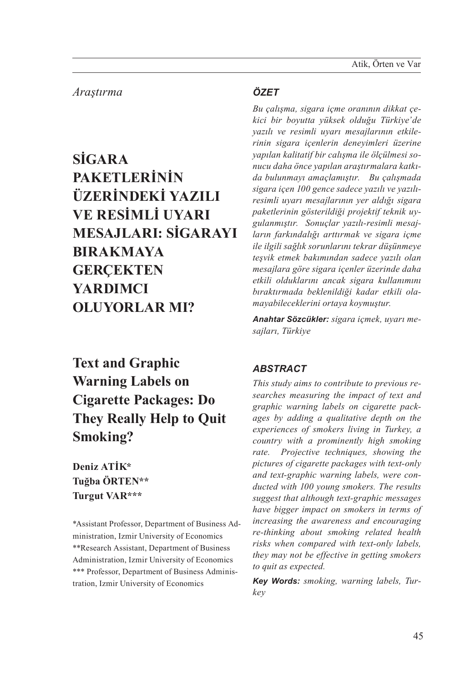# *Araştırma*

**SİGARA PAKETLERİNİN ÜZERİNDEKİ YAZILI VE RESİMLİ UYARI MESAJLARI: SİGARAYI BIRAKMAYA GERÇEKTEN YARDIMCI OLUYORLAR MI?**

# **Text and Graphic Warning Labels on Cigarette Packages: Do They Really Help to Quit Smoking?**

**Deniz ATİK\* Tuğba ÖRTEN\*\* Turgut VAR\*\*\*** 

\*Assistant Professor, Department of Business Administration, Izmir University of Economics \*\*Research Assistant, Department of Business Administration, Izmir University of Economics \*\*\* Professor, Department of Business Administration, Izmir University of Economics

#### *ÖZET*

*Bu çalışma, sigara içme oranının dikkat çekici bir boyutta yüksek olduğu Türkiye'de yazılı ve resimli uyarı mesajlarının etkilerinin sigara içenlerin deneyimleri üzerine yapılan kalitatif bir calışma ile ölçülmesi sonucu daha önce yapılan araştırmalara katkıda bulunmayı amaçlamıştır. Bu çalışmada sigara içen 100 gence sadece yazılı ve yazılıresimli uyarı mesajlarının yer aldığı sigara paketlerinin gösterildiği projektif teknik uygulanmıştır. Sonuçlar yazılı-resimli mesajların farkındalığı arttırmak ve sigara içme ile ilgili sağlık sorunlarını tekrar düşünmeye teşvik etmek bakımından sadece yazılı olan mesajlara göre sigara içenler üzerinde daha etkili olduklarını ancak sigara kullanımını bıraktırmada beklenildiği kadar etkili olamayabileceklerini ortaya koymuştur.*

*Anahtar Sözcükler: sigara içmek, uyarı mesajları, Türkiye*

#### *ABSTRACT*

*This study aims to contribute to previous researches measuring the impact of text and graphic warning labels on cigarette packages by adding a qualitative depth on the experiences of smokers living in Turkey, a country with a prominently high smoking rate. Projective techniques, showing the pictures of cigarette packages with text-only and text-graphic warning labels, were conducted with 100 young smokers. The results suggest that although text-graphic messages have bigger impact on smokers in terms of increasing the awareness and encouraging re-thinking about smoking related health risks when compared with text-only labels, they may not be effective in getting smokers to quit as expected.*

*Key Words: smoking, warning labels, Turkey*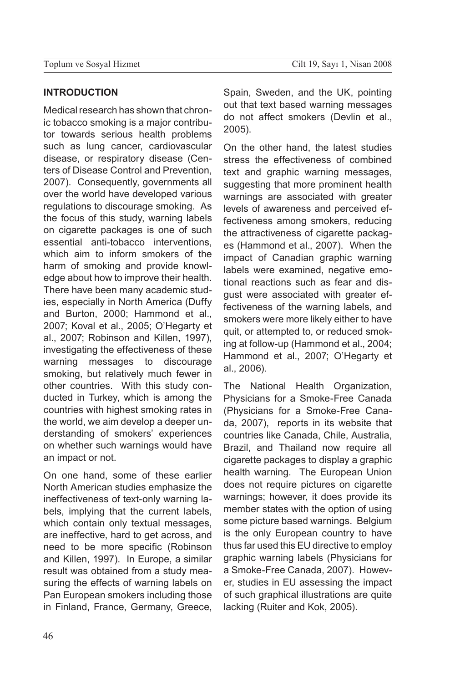#### **Introduction**

Medical research has shown that chronic tobacco smoking is a major contributor towards serious health problems such as lung cancer, cardiovascular disease, or respiratory disease (Centers of Disease Control and Prevention, 2007). Consequently, governments all over the world have developed various regulations to discourage smoking. As the focus of this study, warning labels on cigarette packages is one of such essential anti-tobacco interventions, which aim to inform smokers of the harm of smoking and provide knowledge about how to improve their health. There have been many academic studies, especially in North America (Duffy and Burton, 2000; Hammond et al., 2007; Koval et al., 2005; O'Hegarty et al., 2007; Robinson and Killen, 1997), investigating the effectiveness of these warning messages to discourage smoking, but relatively much fewer in other countries. With this study conducted in Turkey, which is among the countries with highest smoking rates in the world, we aim develop a deeper understanding of smokers' experiences on whether such warnings would have an impact or not.

On one hand, some of these earlier North American studies emphasize the ineffectiveness of text-only warning labels, implying that the current labels, which contain only textual messages, are ineffective, hard to get across, and need to be more specific (Robinson and Killen, 1997). In Europe, a similar result was obtained from a study measuring the effects of warning labels on Pan European smokers including those in Finland, France, Germany, Greece,

Spain, Sweden, and the UK, pointing out that text based warning messages do not affect smokers (Devlin et al., 2005).

On the other hand, the latest studies stress the effectiveness of combined text and graphic warning messages, suggesting that more prominent health warnings are associated with greater levels of awareness and perceived effectiveness among smokers, reducing the attractiveness of cigarette packages (Hammond et al., 2007). When the impact of Canadian graphic warning labels were examined, negative emotional reactions such as fear and disgust were associated with greater effectiveness of the warning labels, and smokers were more likely either to have quit, or attempted to, or reduced smoking at follow-up (Hammond et al., 2004; Hammond et al., 2007; O'Hegarty et al., 2006).

The National Health Organization, Physicians for a Smoke-Free Canada (Physicians for a Smoke-Free Canada, 2007), reports in its website that countries like Canada, Chile, Australia, Brazil, and Thailand now require all cigarette packages to display a graphic health warning. The European Union does not require pictures on cigarette warnings; however, it does provide its member states with the option of using some picture based warnings. Belgium is the only European country to have thus far used this EU directive to employ graphic warning labels (Physicians for a Smoke-Free Canada, 2007). However, studies in EU assessing the impact of such graphical illustrations are quite lacking (Ruiter and Kok, 2005).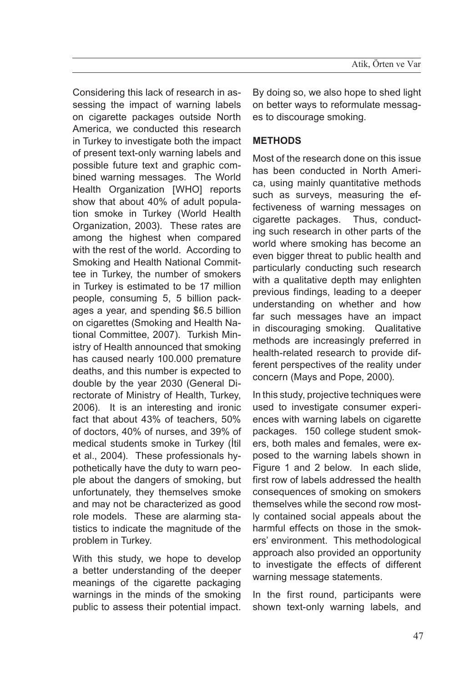Considering this lack of research in assessing the impact of warning labels on cigarette packages outside North America, we conducted this research in Turkey to investigate both the impact of present text-only warning labels and possible future text and graphic combined warning messages. The World Health Organization [WHO] reports show that about 40% of adult population smoke in Turkey (World Health Organization, 2003). These rates are among the highest when compared with the rest of the world. According to Smoking and Health National Committee in Turkey, the number of smokers in Turkey is estimated to be 17 million people, consuming 5, 5 billion packages a year, and spending \$6.5 billion on cigarettes (Smoking and Health National Committee, 2007). Turkish Ministry of Health announced that smoking has caused nearly 100.000 premature deaths, and this number is expected to double by the year 2030 (General Directorate of Ministry of Health, Turkey, 2006). It is an interesting and ironic fact that about 43% of teachers, 50% of doctors, 40% of nurses, and 39% of medical students smoke in Turkey (İtil et al., 2004). These professionals hypothetically have the duty to warn people about the dangers of smoking, but unfortunately, they themselves smoke and may not be characterized as good role models. These are alarming statistics to indicate the magnitude of the problem in Turkey.

With this study, we hope to develop a better understanding of the deeper meanings of the cigarette packaging warnings in the minds of the smoking public to assess their potential impact. By doing so, we also hope to shed light on better ways to reformulate messages to discourage smoking.

# **Methods**

Most of the research done on this issue has been conducted in North America, using mainly quantitative methods such as surveys, measuring the effectiveness of warning messages on cigarette packages. Thus, conducting such research in other parts of the world where smoking has become an even bigger threat to public health and particularly conducting such research with a qualitative depth may enlighten previous findings, leading to a deeper understanding on whether and how far such messages have an impact in discouraging smoking. Qualitative methods are increasingly preferred in health-related research to provide different perspectives of the reality under concern (Mays and Pope, 2000).

In this study, projective techniques were used to investigate consumer experiences with warning labels on cigarette packages. 150 college student smokers, both males and females, were exposed to the warning labels shown in Figure 1 and 2 below. In each slide, first row of labels addressed the health consequences of smoking on smokers themselves while the second row mostly contained social appeals about the harmful effects on those in the smokers' environment. This methodological approach also provided an opportunity to investigate the effects of different warning message statements.

In the first round, participants were shown text-only warning labels, and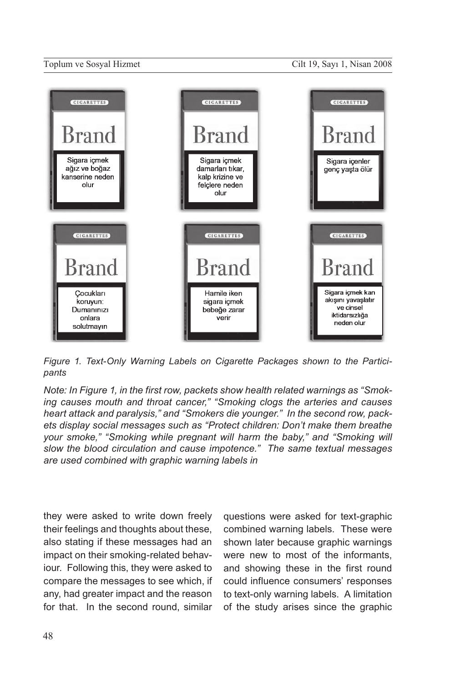

*Figure 1. Text-Only Warning Labels on Cigarette Packages shown to the Participants*

*Note: In Figure 1, in the first row, packets show health related warnings as "Smoking causes mouth and throat cancer," "Smoking clogs the arteries and causes heart attack and paralysis," and "Smokers die younger." In the second row, packets display social messages such as "Protect children: Don't make them breathe your smoke," "Smoking while pregnant will harm the baby," and "Smoking will slow the blood circulation and cause impotence." The same textual messages are used combined with graphic warning labels in* 

they were asked to write down freely their feelings and thoughts about these, also stating if these messages had an impact on their smoking-related behaviour. Following this, they were asked to compare the messages to see which, if any, had greater impact and the reason for that. In the second round, similar

questions were asked for text-graphic combined warning labels. These were shown later because graphic warnings were new to most of the informants, and showing these in the first round could influence consumers' responses to text-only warning labels. A limitation of the study arises since the graphic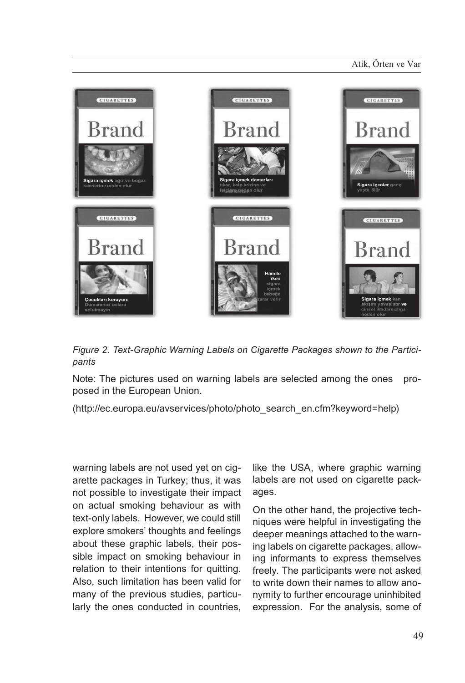

*Figure 2. Text-Graphic Warning Labels on Cigarette Packages shown to the Participants*

Note: The pictures used on warning labels are selected among the ones proposed in the European Union.

(http://ec.europa.eu/avservices/photo/photo\_search\_en.cfm?keyword=help)

warning labels are not used yet on cigarette packages in Turkey; thus, it was not possible to investigate their impact on actual smoking behaviour as with text-only labels. However, we could still explore smokers' thoughts and feelings about these graphic labels, their possible impact on smoking behaviour in relation to their intentions for quitting. Also, such limitation has been valid for many of the previous studies, particularly the ones conducted in countries,

like the USA, where graphic warning labels are not used on cigarette packages.

On the other hand, the projective techniques were helpful in investigating the deeper meanings attached to the warning labels on cigarette packages, allowing informants to express themselves freely. The participants were not asked to write down their names to allow anonymity to further encourage uninhibited expression. For the analysis, some of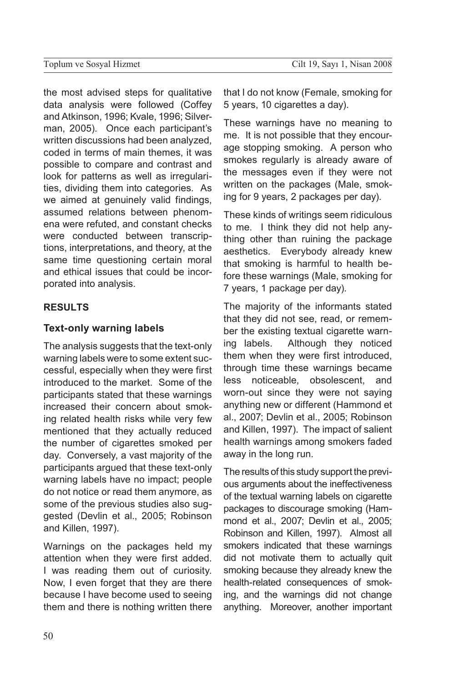the most advised steps for qualitative data analysis were followed (Coffey and Atkinson, 1996; Kvale, 1996; Silverman, 2005). Once each participant's written discussions had been analyzed, coded in terms of main themes, it was possible to compare and contrast and look for patterns as well as irregularities, dividing them into categories. As we aimed at genuinely valid findings, assumed relations between phenomena were refuted, and constant checks were conducted between transcriptions, interpretations, and theory, at the same time questioning certain moral and ethical issues that could be incorporated into analysis.

## **Results**

#### **Text-only warning labels**

The analysis suggests that the text-only warning labels were to some extent successful, especially when they were first introduced to the market. Some of the participants stated that these warnings increased their concern about smoking related health risks while very few mentioned that they actually reduced the number of cigarettes smoked per day. Conversely, a vast majority of the participants argued that these text-only warning labels have no impact; people do not notice or read them anymore, as some of the previous studies also suggested (Devlin et al., 2005; Robinson and Killen, 1997).

Warnings on the packages held my attention when they were first added. I was reading them out of curiosity. Now, I even forget that they are there because I have become used to seeing them and there is nothing written there that I do not know (Female, smoking for 5 years, 10 cigarettes a day).

These warnings have no meaning to me. It is not possible that they encourage stopping smoking. A person who smokes regularly is already aware of the messages even if they were not written on the packages (Male, smoking for 9 years, 2 packages per day).

These kinds of writings seem ridiculous to me. I think they did not help anything other than ruining the package aesthetics. Everybody already knew that smoking is harmful to health before these warnings (Male, smoking for 7 years, 1 package per day).

The majority of the informants stated that they did not see, read, or remember the existing textual cigarette warning labels. Although they noticed them when they were first introduced, through time these warnings became less noticeable, obsolescent, and worn-out since they were not saying anything new or different (Hammond et al., 2007; Devlin et al., 2005; Robinson and Killen, 1997). The impact of salient health warnings among smokers faded away in the long run.

The results of this study support the previous arguments about the ineffectiveness of the textual warning labels on cigarette packages to discourage smoking (Hammond et al., 2007; Devlin et al., 2005; Robinson and Killen, 1997). Almost all smokers indicated that these warnings did not motivate them to actually quit smoking because they already knew the health-related consequences of smoking, and the warnings did not change anything. Moreover, another important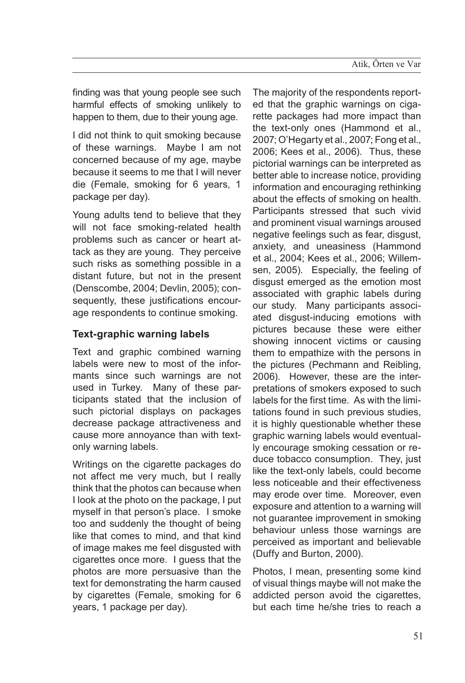finding was that young people see such harmful effects of smoking unlikely to happen to them, due to their young age.

I did not think to quit smoking because of these warnings. Maybe I am not concerned because of my age, maybe because it seems to me that I will never die (Female, smoking for 6 years, 1 package per day).

Young adults tend to believe that they will not face smoking-related health problems such as cancer or heart attack as they are young. They perceive such risks as something possible in a distant future, but not in the present (Denscombe, 2004; Devlin, 2005); consequently, these justifications encourage respondents to continue smoking.

## **Text-graphic warning labels**

Text and graphic combined warning labels were new to most of the informants since such warnings are not used in Turkey. Many of these participants stated that the inclusion of such pictorial displays on packages decrease package attractiveness and cause more annoyance than with textonly warning labels.

Writings on the cigarette packages do not affect me very much, but I really think that the photos can because when I look at the photo on the package, I put myself in that person's place. I smoke too and suddenly the thought of being like that comes to mind, and that kind of image makes me feel disgusted with cigarettes once more. I guess that the photos are more persuasive than the text for demonstrating the harm caused by cigarettes (Female, smoking for 6 years, 1 package per day).

The majority of the respondents reported that the graphic warnings on cigarette packages had more impact than the text-only ones (Hammond et al., 2007; O'Hegarty et al., 2007; Fong et al., 2006; Kees et al., 2006). Thus, these pictorial warnings can be interpreted as better able to increase notice, providing information and encouraging rethinking about the effects of smoking on health. Participants stressed that such vivid and prominent visual warnings aroused negative feelings such as fear, disgust, anxiety, and uneasiness (Hammond et al., 2004; Kees et al., 2006; Willemsen, 2005). Especially, the feeling of disgust emerged as the emotion most associated with graphic labels during our study. Many participants associated disgust-inducing emotions with pictures because these were either showing innocent victims or causing them to empathize with the persons in the pictures (Pechmann and Reibling, 2006). However, these are the interpretations of smokers exposed to such labels for the first time. As with the limitations found in such previous studies, it is highly questionable whether these graphic warning labels would eventually encourage smoking cessation or reduce tobacco consumption. They, just like the text-only labels, could become less noticeable and their effectiveness may erode over time. Moreover, even exposure and attention to a warning will not guarantee improvement in smoking behaviour unless those warnings are perceived as important and believable (Duffy and Burton, 2000).

Photos, I mean, presenting some kind of visual things maybe will not make the addicted person avoid the cigarettes, but each time he/she tries to reach a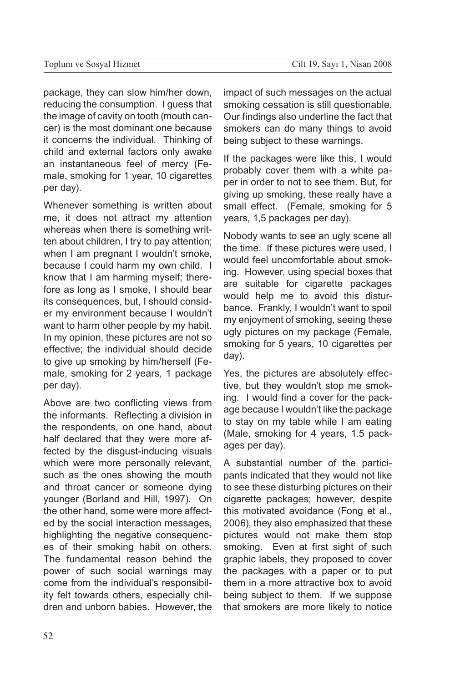package, they can slow him/her down, reducing the consumption. I guess that the image of cavity on tooth (mouth cancer) is the most dominant one because it concerns the individual. Thinking of child and external factors only awake an instantaneous feel of mercy (Female, smoking for 1 year, 10 cigarettes per day).

Whenever something is written about me, it does not attract my attention whereas when there is something written about children, I try to pay attention; when I am pregnant I wouldn't smoke, because I could harm my own child. I know that I am harming myself; therefore as long as I smoke, I should bear its consequences, but, I should consider my environment because I wouldn't want to harm other people by my habit. In my opinion, these pictures are not so effective; the individual should decide to give up smoking by him/herself (Female, smoking for 2 years, 1 package per day).

Above are two conflicting views from the informants. Reflecting a division in the respondents, on one hand, about half declared that they were more affected by the disgust-inducing visuals which were more personally relevant, such as the ones showing the mouth and throat cancer or someone dying younger (Borland and Hill, 1997). On the other hand, some were more affected by the social interaction messages, highlighting the negative consequences of their smoking habit on others. The fundamental reason behind the power of such social warnings may come from the individual's responsibility felt towards others, especially children and unborn babies. However, the impact of such messages on the actual smoking cessation is still questionable. Our findings also underline the fact that smokers can do many things to avoid being subject to these warnings.

If the packages were like this, I would probably cover them with a white paper in order to not to see them. But, for giving up smoking, these really have a small effect. (Female, smoking for 5 years, 1,5 packages per day).

Nobody wants to see an ugly scene all the time. If these pictures were used, I would feel uncomfortable about smoking. However, using special boxes that are suitable for cigarette packages would help me to avoid this disturbance. Frankly, I wouldn't want to spoil my enjoyment of smoking, seeing these ugly pictures on my package (Female, smoking for 5 years, 10 cigarettes per day).

Yes, the pictures are absolutely effective, but they wouldn't stop me smoking. I would find a cover for the package because I wouldn't like the package to stay on my table while I am eating (Male, smoking for 4 years, 1.5 packages per day).

A substantial number of the participants indicated that they would not like to see these disturbing pictures on their cigarette packages; however, despite this motivated avoidance (Fong et al., 2006), they also emphasized that these pictures would not make them stop smoking. Even at first sight of such graphic labels, they proposed to cover the packages with a paper or to put them in a more attractive box to avoid being subject to them. If we suppose that smokers are more likely to notice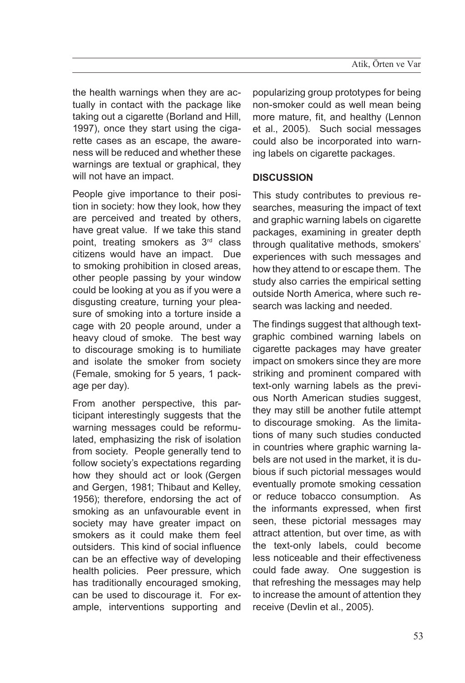the health warnings when they are actually in contact with the package like taking out a cigarette (Borland and Hill, 1997), once they start using the cigarette cases as an escape, the awareness will be reduced and whether these warnings are textual or graphical, they will not have an impact.

People give importance to their position in society: how they look, how they are perceived and treated by others, have great value. If we take this stand point, treating smokers as 3<sup>rd</sup> class citizens would have an impact. Due to smoking prohibition in closed areas, other people passing by your window could be looking at you as if you were a disgusting creature, turning your pleasure of smoking into a torture inside a cage with 20 people around, under a heavy cloud of smoke. The best way to discourage smoking is to humiliate and isolate the smoker from society (Female, smoking for 5 years, 1 package per day).

From another perspective, this participant interestingly suggests that the warning messages could be reformulated, emphasizing the risk of isolation from society. People generally tend to follow society's expectations regarding how they should act or look (Gergen and Gergen, 1981; Thibaut and Kelley, 1956); therefore, endorsing the act of smoking as an unfavourable event in society may have greater impact on smokers as it could make them feel outsiders. This kind of social influence can be an effective way of developing health policies. Peer pressure, which has traditionally encouraged smoking, can be used to discourage it. For example, interventions supporting and

popularizing group prototypes for being non-smoker could as well mean being more mature, fit, and healthy (Lennon et al., 2005). Such social messages could also be incorporated into warning labels on cigarette packages.

## **Discussion**

This study contributes to previous researches, measuring the impact of text and graphic warning labels on cigarette packages, examining in greater depth through qualitative methods, smokers' experiences with such messages and how they attend to or escape them. The study also carries the empirical setting outside North America, where such research was lacking and needed.

The findings suggest that although textgraphic combined warning labels on cigarette packages may have greater impact on smokers since they are more striking and prominent compared with text-only warning labels as the previous North American studies suggest, they may still be another futile attempt to discourage smoking. As the limitations of many such studies conducted in countries where graphic warning labels are not used in the market, it is dubious if such pictorial messages would eventually promote smoking cessation or reduce tobacco consumption. As the informants expressed, when first seen, these pictorial messages may attract attention, but over time, as with the text-only labels, could become less noticeable and their effectiveness could fade away. One suggestion is that refreshing the messages may help to increase the amount of attention they receive (Devlin et al., 2005).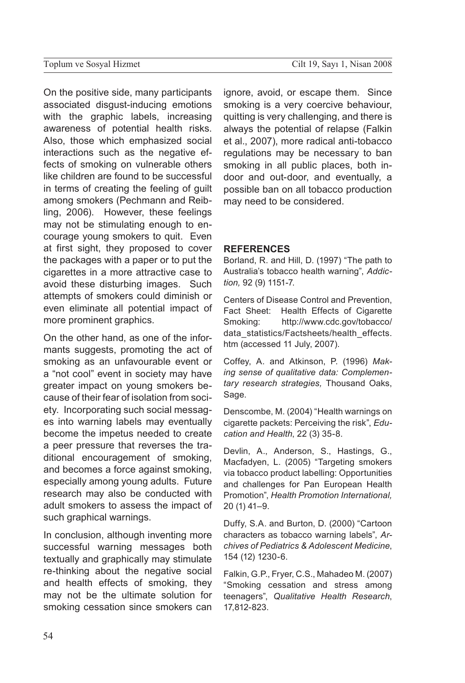On the positive side, many participants associated disgust-inducing emotions with the graphic labels, increasing awareness of potential health risks. Also, those which emphasized social interactions such as the negative effects of smoking on vulnerable others like children are found to be successful in terms of creating the feeling of guilt among smokers (Pechmann and Reibling, 2006). However, these feelings may not be stimulating enough to encourage young smokers to quit. Even at first sight, they proposed to cover the packages with a paper or to put the cigarettes in a more attractive case to avoid these disturbing images. Such attempts of smokers could diminish or even eliminate all potential impact of more prominent graphics.

On the other hand, as one of the informants suggests, promoting the act of smoking as an unfavourable event or a "not cool" event in society may have greater impact on young smokers because of their fear of isolation from society. Incorporating such social messages into warning labels may eventually become the impetus needed to create a peer pressure that reverses the traditional encouragement of smoking, and becomes a force against smoking, especially among young adults. Future research may also be conducted with adult smokers to assess the impact of such graphical warnings.

In conclusion, although inventing more successful warning messages both textually and graphically may stimulate re-thinking about the negative social and health effects of smoking, they may not be the ultimate solution for smoking cessation since smokers can ignore, avoid, or escape them. Since smoking is a very coercive behaviour, quitting is very challenging, and there is always the potential of relapse (Falkin et al., 2007), more radical anti-tobacco regulations may be necessary to ban smoking in all public places, both indoor and out-door, and eventually, a possible ban on all tobacco production may need to be considered.

#### **References**

Borland, R. and Hill, D. (1997) "The path to Australia's tobacco health warning", *Addiction,* 92 (9) 1151-7.

Centers of Disease Control and Prevention, Fact Sheet: Health Effects of Cigarette Smoking: http://www.cdc.gov/tobacco/ data\_statistics/Factsheets/health\_effects. htm (accessed 11 July, 2007).

Coffey, A. and Atkinson, P. (1996) *Making sense of qualitative data: Complementary research strategies,* Thousand Oaks, Sage.

Denscombe, M. (2004) "Health warnings on cigarette packets: Perceiving the risk", *Education and Health*, 22 (3) 35-8.

Devlin, A., Anderson, S., Hastings, G., Macfadyen, L. (2005) "Targeting smokers via tobacco product labelling: Opportunities and challenges for Pan European Health Promotion", *Health Promotion International,*  20 (1) 41–9.

Duffy, S.A. and Burton, D. (2000) "Cartoon characters as tobacco warning labels", *Archives of Pediatrics & Adolescent Medicine*, 154 (12) 1230-6.

Falkin, G.P., Fryer, C.S., Mahadeo M. (2007) "Smoking cessation and stress among teenagers", *Qualitative Health Research*, 17,812-823.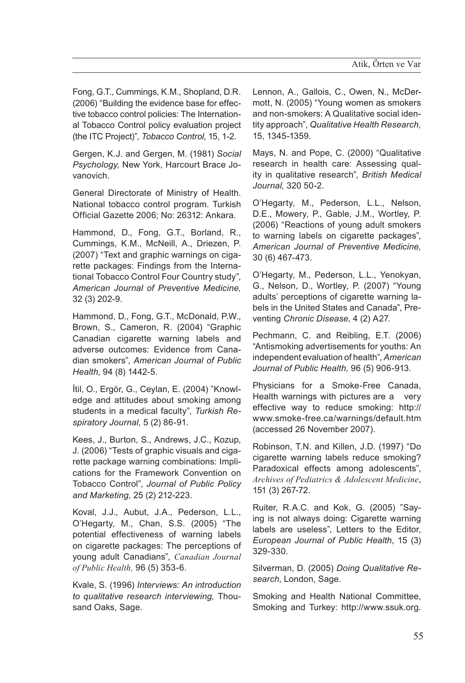Fong, G.T., Cummings, K.M., Shopland, D.R. (2006) "Building the evidence base for effective tobacco control policies: The International Tobacco Control policy evaluation project (the ITC Project)", *Tobacco Control*, 15, 1-2.

Gergen, K.J. and Gergen, M. (1981) *Social Psychology,* New York, Harcourt Brace Jovanovich.

General Directorate of Ministry of Health. National tobacco control program. Turkish Official Gazette 2006; No: 26312: Ankara.

Hammond, D., Fong, G.T., Borland, R., Cummings, K.M., McNeill, A., Driezen, P. (2007) "Text and graphic warnings on cigarette packages: Findings from the International Tobacco Control Four Country study", *American Journal of Preventive Medicine,* 32 (3) 202-9.

Hammond, D., Fong, G.T., McDonald, P.W., Brown, S., Cameron, R. (2004) "Graphic Canadian cigarette warning labels and adverse outcomes: Evidence from Canadian smokers", *American Journal of Public Health*, 94 (8) 1442-5.

İtil, O., Ergör, G., Ceylan, E. (2004) "Knowledge and attitudes about smoking among students in a medical faculty", *Turkish Respiratory Journal,* 5 (2) 86-91.

Kees, J., Burton, S., Andrews, J.C., Kozup, J. (2006) "Tests of graphic visuals and cigarette package warning combinations: Implications for the Framework Convention on Tobacco Control", *Journal of Public Policy and Marketing,* 25 (2) 212-223.

Koval, J.J., Aubut, J.A., Pederson, L.L., O'Hegarty, M., Chan, S.S. (2005) "The potential effectiveness of warning labels on cigarette packages: The perceptions of young adult Canadians", *Canadian Journal of Public Health,* 96 (5) 353-6.

Kvale, S. (1996) *Interviews: An introduction to qualitative research interviewing,* Thousand Oaks, Sage.

Lennon, A., Gallois, C., Owen, N., McDermott, N. (2005) "Young women as smokers and non-smokers: A Qualitative social identity approach", *Qualitative Health Research,*  15, 1345-1359.

Mays, N. and Pope, C. (2000) "Qualitative research in health care: Assessing quality in qualitative research", *British Medical Journal,* 320 50-2.

O'Hegarty, M., Pederson, L.L., Nelson, D.E., Mowery, P., Gable, J.M., Wortley, P. (2006) "Reactions of young adult smokers to warning labels on cigarette packages", *American Journal of Preventive Medicine,* 30 (6) 467-473.

O'Hegarty, M., Pederson, L.L., Yenokyan, G., Nelson, D., Wortley, P. (2007) "Young adults' perceptions of cigarette warning labels in the United States and Canada", Preventing *Chronic Disease*, 4 (2) A27.

Pechmann, C. and Reibling, E.T. (2006) "Antismoking advertisements for youths: An independent evaluation of health", *American Journal of Public Health,* 96 (5) 906-913.

Physicians for a Smoke-Free Canada, Health warnings with pictures are a very effective way to reduce smoking: http:// www.smoke-free.ca/warnings/default.htm (accessed 26 November 2007).

Robinson, T.N. and Killen, J.D. (1997) "Do cigarette warning labels reduce smoking? Paradoxical effects among adolescents", *Archives of Pediatrics & Adolescent Medicine*, 151 (3) 267-72.

Ruiter, R.A.C. and Kok, G. (2005) "Saying is not always doing: Cigarette warning labels are useless", Letters to the Editor, *European Journal of Public Health*, 15 (3) 329-330.

Silverman, D. (2005) *Doing Qualitative Research*, London, Sage.

Smoking and Health National Committee, Smoking and Turkey: http://www.ssuk.org.